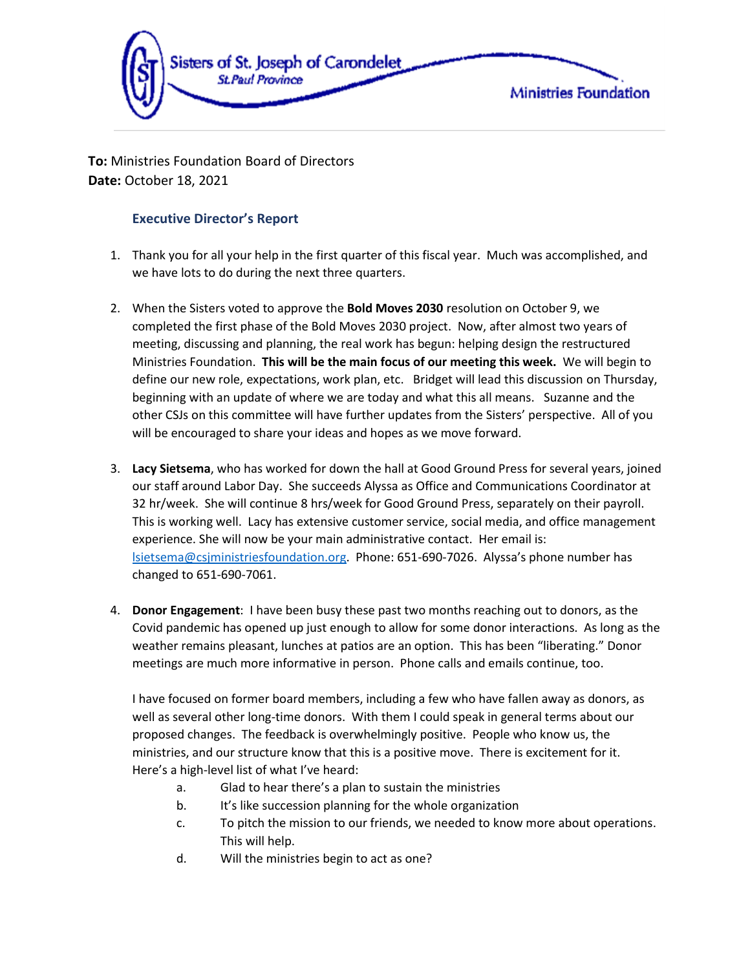

**To:** Ministries Foundation Board of Directors **Date:** October 18, 2021

# **Executive Director's Report**

- 1. Thank you for all your help in the first quarter of this fiscal year. Much was accomplished, and we have lots to do during the next three quarters.
- 2. When the Sisters voted to approve the **Bold Moves 2030** resolution on October 9, we completed the first phase of the Bold Moves 2030 project. Now, after almost two years of meeting, discussing and planning, the real work has begun: helping design the restructured Ministries Foundation. **This will be the main focus of our meeting this week.** We will begin to define our new role, expectations, work plan, etc. Bridget will lead this discussion on Thursday, beginning with an update of where we are today and what this all means. Suzanne and the other CSJs on this committee will have further updates from the Sisters' perspective. All of you will be encouraged to share your ideas and hopes as we move forward.
- 3. **Lacy Sietsema**, who has worked for down the hall at Good Ground Press for several years, joined our staff around Labor Day. She succeeds Alyssa as Office and Communications Coordinator at 32 hr/week. She will continue 8 hrs/week for Good Ground Press, separately on their payroll. This is working well. Lacy has extensive customer service, social media, and office management experience. She will now be your main administrative contact. Her email is: [lsietsema@csjministriesfoundation.org.](mailto:lsietsema@csjministriesfoundation.org) Phone: 651-690-7026. Alyssa's phone number has changed to 651-690-7061.
- 4. **Donor Engagement**: I have been busy these past two months reaching out to donors, as the Covid pandemic has opened up just enough to allow for some donor interactions. As long as the weather remains pleasant, lunches at patios are an option. This has been "liberating." Donor meetings are much more informative in person. Phone calls and emails continue, too.

I have focused on former board members, including a few who have fallen away as donors, as well as several other long-time donors. With them I could speak in general terms about our proposed changes. The feedback is overwhelmingly positive. People who know us, the ministries, and our structure know that this is a positive move. There is excitement for it. Here's a high-level list of what I've heard:

- a. Glad to hear there's a plan to sustain the ministries
- b. It's like succession planning for the whole organization
- c. To pitch the mission to our friends, we needed to know more about operations. This will help.
- d. Will the ministries begin to act as one?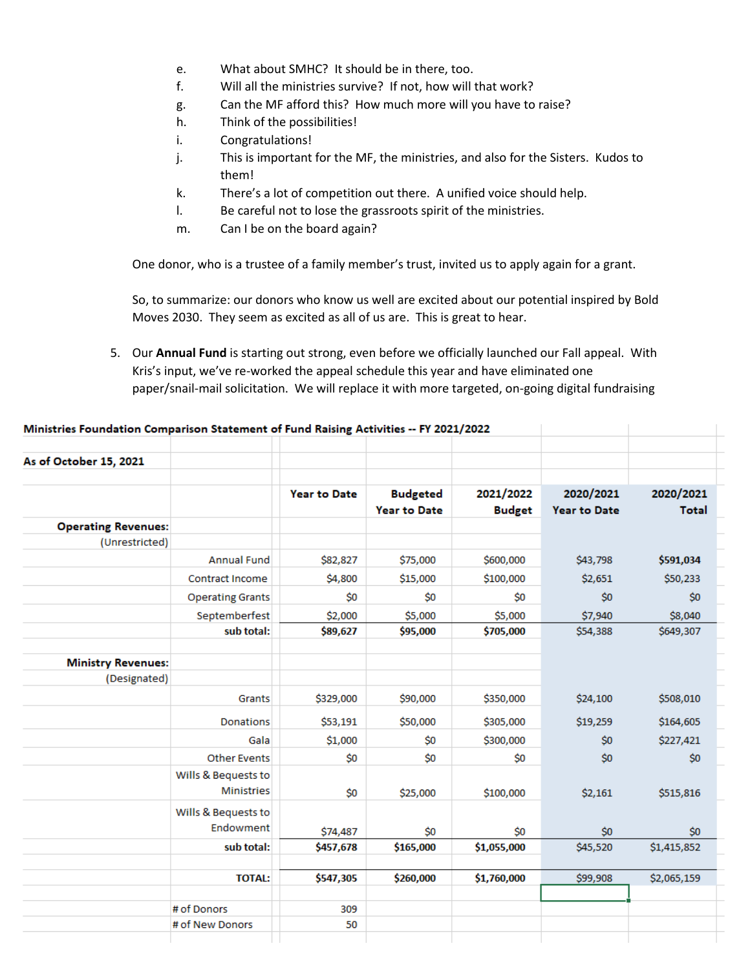- e. What about SMHC? It should be in there, too.
- f. Will all the ministries survive? If not, how will that work?
- g. Can the MF afford this? How much more will you have to raise?
- h. Think of the possibilities!
- i. Congratulations!
- j. This is important for the MF, the ministries, and also for the Sisters. Kudos to them!
- k. There's a lot of competition out there. A unified voice should help.
- l. Be careful not to lose the grassroots spirit of the ministries.
- m. Can I be on the board again?

One donor, who is a trustee of a family member's trust, invited us to apply again for a grant.

So, to summarize: our donors who know us well are excited about our potential inspired by Bold Moves 2030. They seem as excited as all of us are. This is great to hear.

5. Our **Annual Fund** is starting out strong, even before we officially launched our Fall appeal. With Kris's input, we've re-worked the appeal schedule this year and have eliminated one paper/snail-mail solicitation. We will replace it with more targeted, on-going digital fundraising

#### Ministries Foundation Comparison Statement of Fund Raising Activities -- FY 2021/2022

| As of October 15, 2021     |                         |                     |                     |               |                     |              |
|----------------------------|-------------------------|---------------------|---------------------|---------------|---------------------|--------------|
|                            |                         | <b>Year to Date</b> | <b>Budgeted</b>     | 2021/2022     | 2020/2021           | 2020/2021    |
|                            |                         |                     | <b>Year to Date</b> | <b>Budget</b> | <b>Year to Date</b> | <b>Total</b> |
| <b>Operating Revenues:</b> |                         |                     |                     |               |                     |              |
| (Unrestricted)             |                         |                     |                     |               |                     |              |
|                            | <b>Annual Fund</b>      | \$82,827            | \$75,000            | \$600,000     | \$43,798            | \$591,034    |
|                            | <b>Contract Income</b>  | \$4,800             | \$15,000            | \$100,000     | \$2,651             | \$50,233     |
|                            | <b>Operating Grants</b> | \$0                 | \$0                 | \$0           | \$0                 | \$0          |
|                            | Septemberfest           | \$2,000             | \$5,000             | \$5,000       | \$7,940             | \$8,040      |
|                            | sub total:              | \$89,627            | \$95,000            | \$705,000     | \$54,388            | \$649,307    |
|                            |                         |                     |                     |               |                     |              |
| <b>Ministry Revenues:</b>  |                         |                     |                     |               |                     |              |
| (Designated)               |                         |                     |                     |               |                     |              |
|                            | Grants                  | \$329,000           | \$90,000            | \$350,000     | \$24,100            | \$508,010    |
|                            | <b>Donations</b>        | \$53,191            | \$50,000            | \$305,000     | \$19,259            | \$164,605    |
|                            | Gala                    | \$1,000             | \$0                 | \$300,000     | \$0                 | \$227,421    |
|                            | <b>Other Events</b>     | \$0                 | \$0                 | \$0           | \$0                 | \$0          |
|                            | Wills & Bequests to     |                     |                     |               |                     |              |
|                            | <b>Ministries</b>       | \$0                 | \$25,000            | \$100,000     | \$2,161             | \$515,816    |
|                            | Wills & Bequests to     |                     |                     |               |                     |              |
|                            | Endowment               | \$74,487            | \$0                 | \$0           | \$0                 | \$0          |
|                            | sub total:              | \$457,678           | \$165,000           | \$1,055,000   | \$45,520            | \$1,415,852  |
|                            |                         |                     |                     |               |                     |              |
|                            | <b>TOTAL:</b>           | \$547,305           | \$260,000           | \$1,760,000   | \$99,908            | \$2,065,159  |
|                            | # of Donors             |                     |                     |               |                     |              |
|                            | # of New Donors         | 309<br>50           |                     |               |                     |              |
|                            |                         |                     |                     |               |                     |              |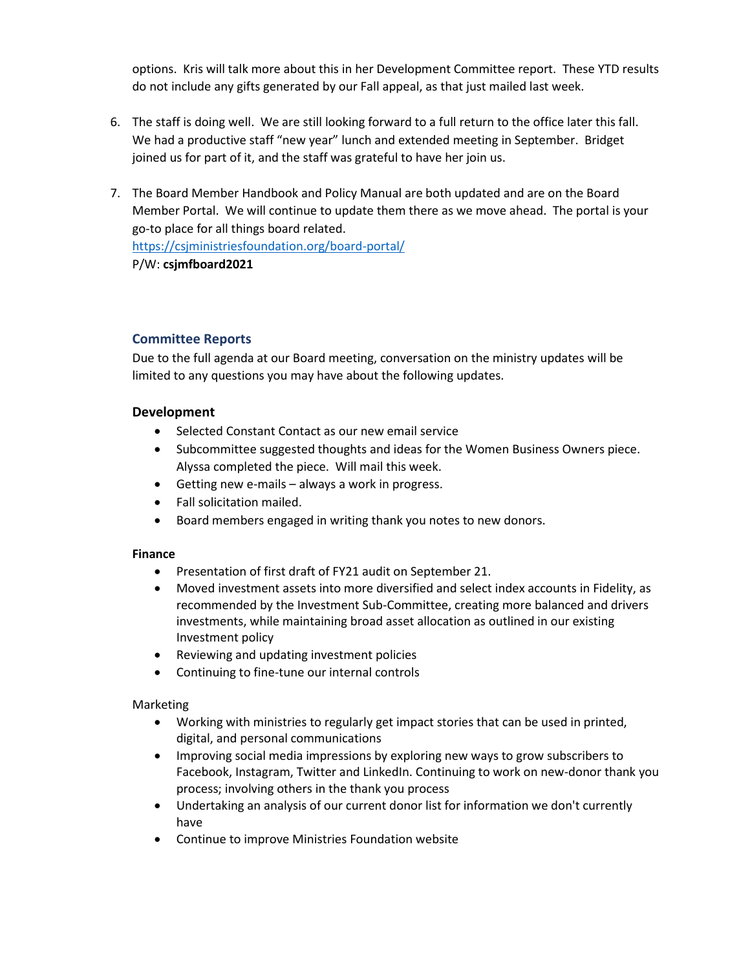options. Kris will talk more about this in her Development Committee report. These YTD results do not include any gifts generated by our Fall appeal, as that just mailed last week.

- 6. The staff is doing well. We are still looking forward to a full return to the office later this fall. We had a productive staff "new year" lunch and extended meeting in September. Bridget joined us for part of it, and the staff was grateful to have her join us.
- 7. The Board Member Handbook and Policy Manual are both updated and are on the Board Member Portal. We will continue to update them there as we move ahead. The portal is your go-to place for all things board related. <https://csjministriesfoundation.org/board-portal/>

P/W: **csjmfboard2021**

## **Committee Reports**

Due to the full agenda at our Board meeting, conversation on the ministry updates will be limited to any questions you may have about the following updates.

### **Development**

- Selected Constant Contact as our new email service
- Subcommittee suggested thoughts and ideas for the Women Business Owners piece. Alyssa completed the piece. Will mail this week.
- Getting new e-mails always a work in progress.
- Fall solicitation mailed.
- Board members engaged in writing thank you notes to new donors.

### **Finance**

- Presentation of first draft of FY21 audit on September 21.
- Moved investment assets into more diversified and select index accounts in Fidelity, as recommended by the Investment Sub-Committee, creating more balanced and drivers investments, while maintaining broad asset allocation as outlined in our existing Investment policy
- Reviewing and updating investment policies
- Continuing to fine-tune our internal controls

### Marketing

- Working with ministries to regularly get impact stories that can be used in printed, digital, and personal communications
- Improving social media impressions by exploring new ways to grow subscribers to Facebook, Instagram, Twitter and LinkedIn. Continuing to work on new-donor thank you process; involving others in the thank you process
- Undertaking an analysis of our current donor list for information we don't currently have
- Continue to improve Ministries Foundation website